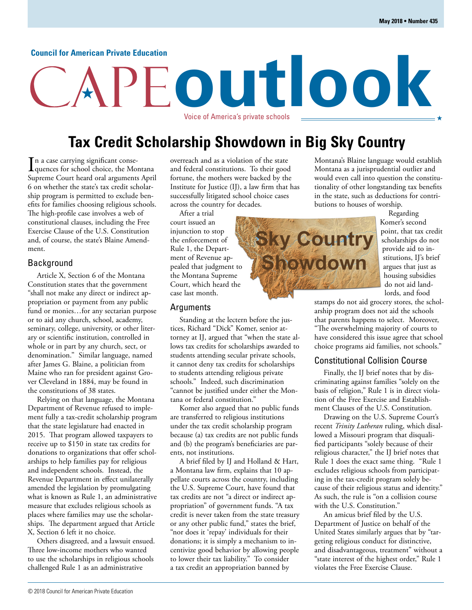#### **Council for American Private Education**

# **outlook** Voice of America's private schools

## **Tax Credit Scholarship Showdown in Big Sky Country**

In a case carrying significant consequences for school choice, the Mo quences for school choice, the Montana Supreme Court heard oral arguments April 6 on whether the state's tax credit scholarship program is permitted to exclude benefits for families choosing religious schools. The high-profile case involves a web of constitutional clauses, including the Free Exercise Clause of the U.S. Constitution and, of course, the state's Blaine Amendment.

#### Background

Article X, Section 6 of the Montana Constitution states that the government "shall not make any direct or indirect appropriation or payment from any public fund or monies…for any sectarian purpose or to aid any church, school, academy, seminary, college, university, or other literary or scientific institution, controlled in whole or in part by any church, sect, or denomination." Similar language, named after James G. Blaine, a politician from Maine who ran for president against Grover Cleveland in 1884, may be found in the constitutions of 38 states.

Relying on that language, the Montana Department of Revenue refused to implement fully a tax-credit scholarship program that the state legislature had enacted in 2015. That program allowed taxpayers to receive up to \$150 in state tax credits for donations to organizations that offer scholarships to help families pay for religious and independent schools. Instead, the Revenue Department in effect unilaterally amended the legislation by promulgating what is known as Rule 1, an administrative measure that excludes religious schools as places where families may use the scholarships. The department argued that Article X, Section 6 left it no choice.

Others disagreed, and a lawsuit ensued. Three low-income mothers who wanted to use the scholarships in religious schools challenged Rule 1 as an administrative

overreach and as a violation of the state and federal constitutions. To their good fortune, the mothers were backed by the Institute for Justice (IJ), a law firm that has successfully litigated school choice cases across the country for decades.

After a trial court issued an injunction to stop the enforcement of Rule 1, the Department of Revenue appealed that judgment to the Montana Supreme Court, which heard the case last month.

#### Arguments

Standing at the lectern before the justices, Richard "Dick" Komer, senior attorney at IJ, argued that "when the state allows tax credits for scholarships awarded to students attending secular private schools, it cannot deny tax credits for scholarships to students attending religious private schools." Indeed, such discrimination "cannot be justified under either the Montana or federal constitution."

Komer also argued that no public funds are transferred to religious institutions under the tax credit scholarship program because (a) tax credits are not public funds and (b) the program's beneficiaries are parents, not institutions.

A brief filed by IJ and Holland & Hart, a Montana law firm, explains that 10 appellate courts across the country, including the U.S. Supreme Court, have found that tax credits are not "a direct or indirect appropriation" of government funds. "A tax credit is never taken from the state treasury or any other public fund," states the brief, "nor does it 'repay' individuals for their donations; it is simply a mechanism to incentivize good behavior by allowing people to lower their tax liability." To consider a tax credit an appropriation banned by

Montana's Blaine language would establish Montana as a jurisprudential outlier and would even call into question the constitutionality of other longstanding tax benefits in the state, such as deductions for contributions to houses of worship.

Regarding Komer's second point, that tax credit scholarships do not provide aid to institutions, IJ's brief argues that just as housing subsidies do not aid landlords, and food

stamps do not aid grocery stores, the scholarship program does not aid the schools that parents happens to select. Moreover, "The overwhelming majority of courts to have considered this issue agree that school choice programs aid families, not schools."

#### Constitutional Collision Course

Finally, the IJ brief notes that by discriminating against families "solely on the basis of religion," Rule 1 is in direct violation of the Free Exercise and Establishment Clauses of the U.S. Constitution.

Drawing on the U.S. Supreme Court's recent *Trinity Lutheran* ruling, which disallowed a Missouri program that disqualified participants "solely because of their religious character," the IJ brief notes that Rule 1 does the exact same thing. "Rule 1 excludes religious schools from participating in the tax-credit program solely because of their religious status and identity." As such, the rule is "on a collision course with the U.S. Constitution."

An amicus brief filed by the U.S. Department of Justice on behalf of the United States similarly argues that by "targeting religious conduct for distinctive, and disadvantageous, treatment" without a "state interest of the highest order," Rule 1 violates the Free Exercise Clause.

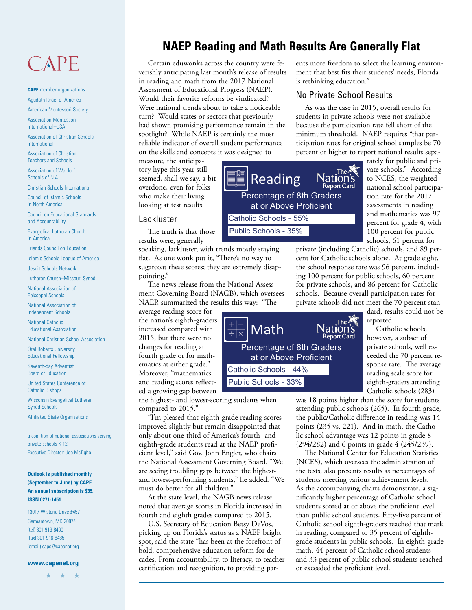## CAPE

**CAPE** member organizations: Agudath Israel of America

American Montessori Society

Association Montessori International–USA

Association of Christian Schools International

Association of Christian Teachers and Schools

Association of Waldorf Schools of N.A.

Christian Schools International

Council of Islamic Schools in North America

Council on Educational Standards and Accountability

Evangelical Lutheran Church in America

Friends Council on Education Islamic Schools League of America

Jesuit Schools Network

Lutheran Church–Missouri Synod

National Association of Episcopal Schools

National Association of Independent Schools

National Catholic Educational Association

National Christian School Association

Oral Roberts University Educational Fellowship

Seventh-day Adventist Board of Education

United States Conference of Catholic Bishops

Wisconsin Evangelical Lutheran Synod Schools

Affiliated State Organizations

a coalition of national associations serving private schools K-12 Executive Director: Joe McTighe

#### **Outlook is published monthly (September to June) by CAPE. An annual subscription is \$35. ISSN 0271-1451**

13017 Wisteria Drive #457 Germantown, MD 20874 (tel) 301-916-8460 (fax) 301-916-8485 (email) cape@capenet.org

#### **www.capenet.org**

 $\rightarrow$ 

## **NAEP Reading and Math Results Are Generally Flat**

Certain eduwonks across the country were feverishly anticipating last month's release of results in reading and math from the 2017 National Assessment of Educational Progress (NAEP). Would their favorite reforms be vindicated? Were national trends about to take a noticeable turn? Would states or sectors that previously had shown promising performance remain in the spotlight? While NAEP is certainly the most reliable indicator of overall student performance on the skills and concepts it was designed to

measure, the anticipatory hype this year still seemed, shall we say, a bit overdone, even for folks who make their living looking at test results.

#### Lackluster

The truth is that those results were, generally

speaking, lackluster, with trends mostly staying flat. As one wonk put it, "There's no way to sugarcoat these scores; they are extremely disappointing."

The news release from the National Assessment Governing Board (NAGB), which oversees NAEP, summarized the results this way: "The

average reading score for the nation's eighth-graders increased compared with 2015, but there were no changes for reading at fourth grade or for mathematics at either grade." Moreover, "mathematics and reading scores reflected a growing gap between

the highest- and lowest-scoring students when compared to 2015."

"I'm pleased that eighth-grade reading scores improved slightly but remain disappointed that only about one-third of America's fourth- and eighth-grade students read at the NAEP proficient level," said Gov. John Engler, who chairs the National Assessment Governing Board. "We are seeing troubling gaps between the highestand lowest-performing students," he added. "We must do better for all children."

At the state level, the NAGB news release noted that average scores in Florida increased in fourth and eighth grades compared to 2015.

U.S. Secretary of Education Betsy DeVos, picking up on Florida's status as a NAEP bright spot, said the state "has been at the forefront of bold, comprehensive education reform for decades. From accountability, to literacy, to teacher certification and recognition, to providing parents more freedom to select the learning environment that best fits their students' needs, Florida is rethinking education."

#### No Private School Results

As was the case in 2015, overall results for students in private schools were not available because the participation rate fell short of the minimum threshold. NAEP requires "that participation rates for original school samples be 70 percent or higher to report national results sepa-

Reading Percentage of 8th Graders at or Above Proficient Catholic Schools - 55% Public Schools - 35%

Math

 $\frac{1}{x}$   $\frac{1}{x}$ 

Catholic Schools - 44% Public Schools - 33%

rately for public and private schools." According to NCES, the weighted national school participation rate for the 2017 assessments in reading and mathematics was 97 percent for grade 4, with 100 percent for public schools, 61 percent for

private (including Catholic) schools, and 89 percent for Catholic schools alone. At grade eight, the school response rate was 96 percent, including 100 percent for public schools, 60 percent for private schools, and 86 percent for Catholic schools. Because overall participation rates for private schools did not meet the 70 percent stan-

**Nation's** 

**Report Card** 

dard, results could not be reported.

Catholic schools, however, a subset of private schools, well exceeded the 70 percent response rate. The average reading scale score for eighth-graders attending Catholic schools (283)

was 18 points higher than the score for students attending public schools (265). In fourth grade, the public/Catholic difference in reading was 14 points (235 vs. 221). And in math, the Catholic school advantage was 12 points in grade 8 (294/282) and 6 points in grade 4 (245/239).

The National Center for Education Statistics (NCES), which oversees the administration of the tests, also presents results as percentages of students meeting various achievement levels. As the accompanying charts demonstrate, a significantly higher percentage of Catholic school students scored at or above the proficient level than public school students. Fifty-five percent of Catholic school eighth-graders reached that mark in reading, compared to 35 percent of eighthgrade students in public schools. In eighth-grade math, 44 percent of Catholic school students and 33 percent of public school students reached or exceeded the proficient level.

The Nation's

Percentage of 8th Graders at or Above Proficient

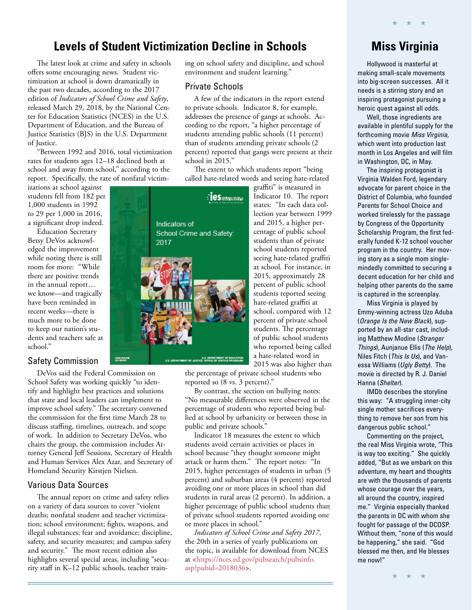## **Levels of Student Victimization Decline in Schools**

Indicators of

2017

School Crime and Safety:

U.S. DEPARTMENT OF JUSTICE OFFICE OF JUSTICE PROGRAMS

The latest look at crime and safety in schools offers some encouraging news. Student victimization at school is down dramatically in the past two decades, according to the 2017 edition of *Indicators of School Crime and Safety*, released March 29, 2018, by the National Center for Education Statistics (NCES) in the U.S. Department of Education, and the Bureau of Justice Statistics (BJS) in the U.S. Department of Justice.

"Between 1992 and 2016, total victimization rates for students ages 12–18 declined both at school and away from school," according to the report. Specifically, the rate of nonfatal victim-

izations at school against students fell from 182 per 1,000 students in 1992 to 29 per 1,000 in 2016, a significant drop indeed.

Education Secretary Betsy DeVos acknowledged the improvement while noting there is still room for more: "While there are positive trends in the annual report… we know—and tragically have been reminded in recent weeks—there is much more to be done to keep our nation's students and teachers safe at school."

#### Safety Commission

DeVos said the Federal Commission on School Safety was working quickly "to identify and highlight best practices and solutions that state and local leaders can implement to improve school safety." The secretary convened the commission for the first time March 28 to discuss staffing, timelines, outreach, and scope of work. In addition to Secretary DeVos, who chairs the group, the commission includes Attorney General Jeff Sessions, Secretary of Health and Human Services Alex Azar, and Secretary of Homeland Security Kirstjen Nielsen.

 $NCH3 231863$ 

#### Various Data Sources

The annual report on crime and safety relies on a variety of data sources to cover "violent deaths; nonfatal student and teacher victimization; school environment; fights, weapons, and illegal substances; fear and avoidance; discipline, safety, and security measures; and campus safety and security." The most recent edition also highlights several special areas, including "security staff in K–12 public schools, teacher train-

ing on school safety and discipline, and school environment and student learning."

#### Private Schools

 $\blacksquare$ ies $\kappa$ 

A few of the indicators in the report extend to private schools. Indicator 8, for example, addresses the presence of gangs at schools. According to the report, "a higher percentage of students attending public schools (11 percent) than of students attending private schools (2 percent) reported that gangs were present at their school in 2015."

The extent to which students report "being called hate-related words and seeing hate-related



the percentage of private school students who reported so (8 vs. 3 percent)."

By contrast, the section on bullying notes: "No measurable differences were observed in the percentage of students who reported being bullied at school by urbanicity or between those in public and private schools."

Indicator 18 measures the extent to which students avoid certain activities or places in school because "they thought someone might attack or harm them." The report notes: "In 2015, higher percentages of students in urban (5 percent) and suburban areas (4 percent) reported avoiding one or more places in school than did students in rural areas (2 percent). In addition, a higher percentage of public school students than of private school students reported avoiding one or more places in school."

*Indicators of School Crime and Safety 2017*, the 20th in a series of yearly publications on the topic, is available for download from NCES [at <https://nces.ed.gov/pubsearch/pubsinfo.](https://nces.ed.gov/pubsearch/pubsinfo.asp?pubid=2018036) asp?pubid=2018036>.

## **Miss Virginia**

★ ★ ★

Hollywood is masterful at making small-scale movements into big-screen successes. All it needs is a stirring story and an inspiring protagonist pursuing a heroic quest against all odds.

Well, those ingredients are available in plentiful supply for the forthcoming movie Miss Virginia, which went into production last month in Los Angeles and will film in Washington, DC, in May.

The inspiring protagonist is Virginia Walden Ford, legendary advocate for parent choice in the District of Columbia, who founded Parents for School Choice and worked tirelessly for the passage by Congress of the Opportunity Scholarship Program, the first federally funded K-12 school voucher program in the country. Her moving story as a single mom singlemindedly committed to securing a decent education for her child and helping other parents do the same is captured in the screenplay.

Miss Virginia is played by Emmy-winning actress Uzo Aduba (Orange Is the New Black), supported by an all-star cast, including Matthew Modine (Stranger Things), Aunjanue Ellis (The Help), Niles Fitch (This Is Us), and Vanessa Williams (Ugly Betty). The movie is directed by R. J. Daniel Hanna (Shelter).

IMDb describes the storyline this way: "A struggling inner-city single mother sacrifices everything to remove her son from his dangerous public school."

Commenting on the project, the real Miss Virginia wrote, "This is way too exciting." She quickly added, "But as we embark on this adventure, my heart and thoughts are with the thousands of parents whose courage over the years, all around the country, inspired me." Virginia especially thanked the parents in DC with whom she fought for passage of the DCOSP. Without them, "none of this would be happening," she said. "God blessed me then, and He blesses me now!"

★ ★ ★